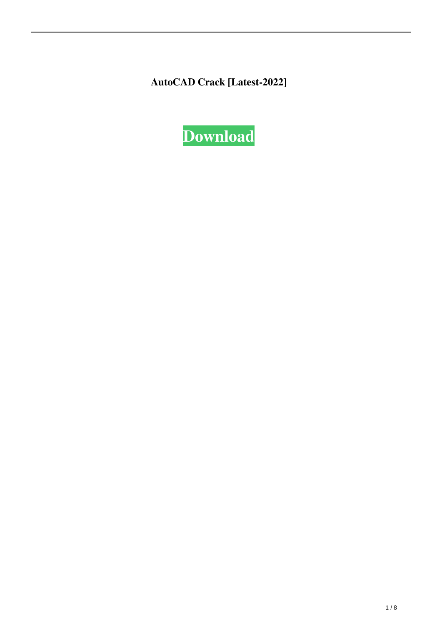**AutoCAD Crack [Latest-2022]**

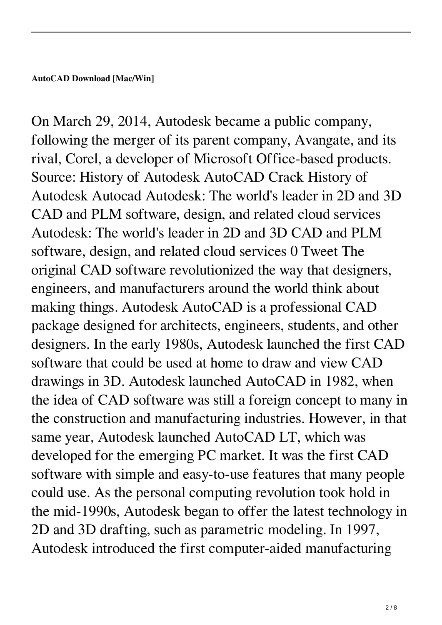On March 29, 2014, Autodesk became a public company, following the merger of its parent company, Avangate, and its rival, Corel, a developer of Microsoft Office-based products. Source: History of Autodesk AutoCAD Crack History of Autodesk Autocad Autodesk: The world's leader in 2D and 3D CAD and PLM software, design, and related cloud services Autodesk: The world's leader in 2D and 3D CAD and PLM software, design, and related cloud services 0 Tweet The original CAD software revolutionized the way that designers, engineers, and manufacturers around the world think about making things. Autodesk AutoCAD is a professional CAD package designed for architects, engineers, students, and other designers. In the early 1980s, Autodesk launched the first CAD software that could be used at home to draw and view CAD drawings in 3D. Autodesk launched AutoCAD in 1982, when the idea of CAD software was still a foreign concept to many in the construction and manufacturing industries. However, in that same year, Autodesk launched AutoCAD LT, which was developed for the emerging PC market. It was the first CAD software with simple and easy-to-use features that many people could use. As the personal computing revolution took hold in the mid-1990s, Autodesk began to offer the latest technology in 2D and 3D drafting, such as parametric modeling. In 1997, Autodesk introduced the first computer-aided manufacturing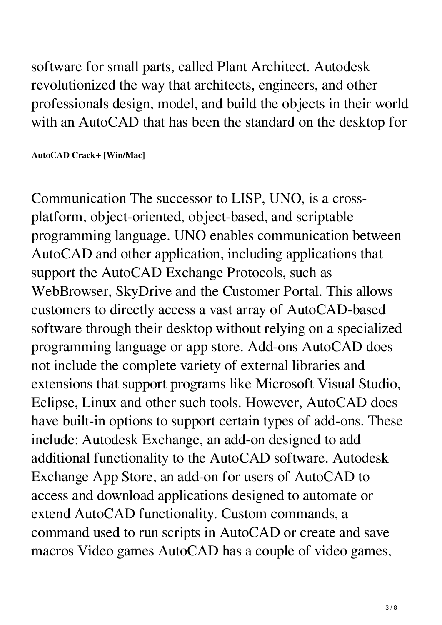software for small parts, called Plant Architect. Autodesk revolutionized the way that architects, engineers, and other professionals design, model, and build the objects in their world with an AutoCAD that has been the standard on the desktop for

**AutoCAD Crack+ [Win/Mac]**

Communication The successor to LISP, UNO, is a crossplatform, object-oriented, object-based, and scriptable programming language. UNO enables communication between AutoCAD and other application, including applications that support the AutoCAD Exchange Protocols, such as WebBrowser, SkyDrive and the Customer Portal. This allows customers to directly access a vast array of AutoCAD-based software through their desktop without relying on a specialized programming language or app store. Add-ons AutoCAD does not include the complete variety of external libraries and extensions that support programs like Microsoft Visual Studio, Eclipse, Linux and other such tools. However, AutoCAD does have built-in options to support certain types of add-ons. These include: Autodesk Exchange, an add-on designed to add additional functionality to the AutoCAD software. Autodesk Exchange App Store, an add-on for users of AutoCAD to access and download applications designed to automate or extend AutoCAD functionality. Custom commands, a command used to run scripts in AutoCAD or create and save macros Video games AutoCAD has a couple of video games,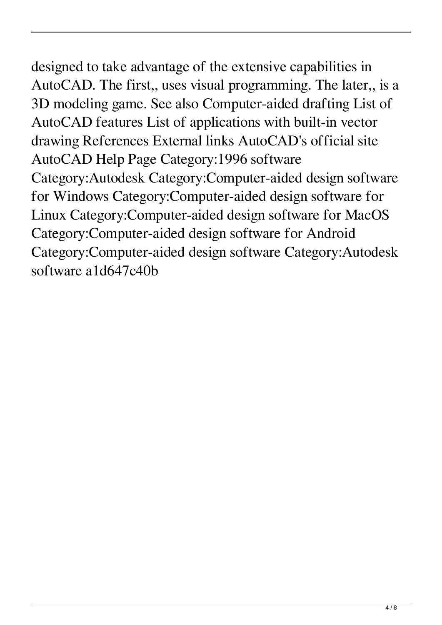designed to take advantage of the extensive capabilities in AutoCAD. The first,, uses visual programming. The later,, is a 3D modeling game. See also Computer-aided drafting List of AutoCAD features List of applications with built-in vector drawing References External links AutoCAD's official site AutoCAD Help Page Category:1996 software Category:Autodesk Category:Computer-aided design software for Windows Category:Computer-aided design software for Linux Category:Computer-aided design software for MacOS Category:Computer-aided design software for Android Category:Computer-aided design software Category:Autodesk software a1d647c40b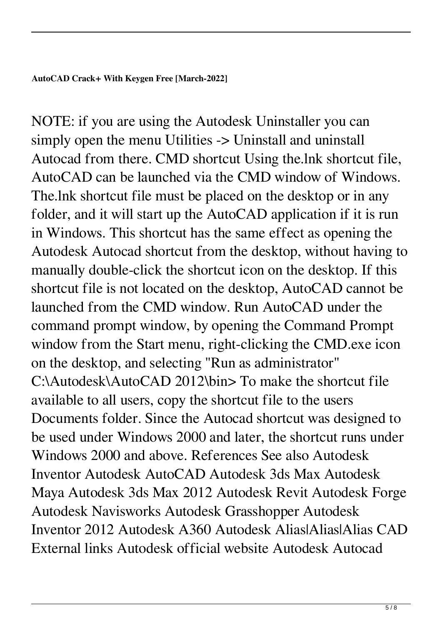**AutoCAD Crack+ With Keygen Free [March-2022]**

NOTE: if you are using the Autodesk Uninstaller you can simply open the menu Utilities -> Uninstall and uninstall Autocad from there. CMD shortcut Using the.lnk shortcut file, AutoCAD can be launched via the CMD window of Windows. The.lnk shortcut file must be placed on the desktop or in any folder, and it will start up the AutoCAD application if it is run in Windows. This shortcut has the same effect as opening the Autodesk Autocad shortcut from the desktop, without having to manually double-click the shortcut icon on the desktop. If this shortcut file is not located on the desktop, AutoCAD cannot be launched from the CMD window. Run AutoCAD under the command prompt window, by opening the Command Prompt window from the Start menu, right-clicking the CMD.exe icon on the desktop, and selecting "Run as administrator" C:\Autodesk\AutoCAD 2012\bin> To make the shortcut file available to all users, copy the shortcut file to the users Documents folder. Since the Autocad shortcut was designed to be used under Windows 2000 and later, the shortcut runs under Windows 2000 and above. References See also Autodesk Inventor Autodesk AutoCAD Autodesk 3ds Max Autodesk Maya Autodesk 3ds Max 2012 Autodesk Revit Autodesk Forge Autodesk Navisworks Autodesk Grasshopper Autodesk Inventor 2012 Autodesk A360 Autodesk Alias|Alias|Alias CAD External links Autodesk official website Autodesk Autocad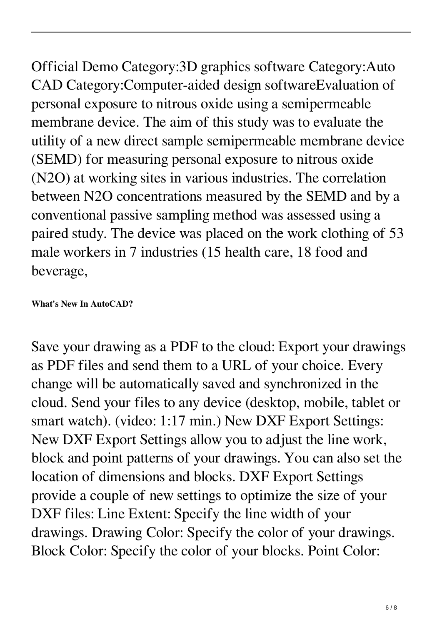Official Demo Category:3D graphics software Category:Auto CAD Category:Computer-aided design softwareEvaluation of personal exposure to nitrous oxide using a semipermeable membrane device. The aim of this study was to evaluate the utility of a new direct sample semipermeable membrane device (SEMD) for measuring personal exposure to nitrous oxide (N2O) at working sites in various industries. The correlation between N2O concentrations measured by the SEMD and by a conventional passive sampling method was assessed using a paired study. The device was placed on the work clothing of 53 male workers in 7 industries (15 health care, 18 food and beverage,

## **What's New In AutoCAD?**

Save your drawing as a PDF to the cloud: Export your drawings as PDF files and send them to a URL of your choice. Every change will be automatically saved and synchronized in the cloud. Send your files to any device (desktop, mobile, tablet or smart watch). (video: 1:17 min.) New DXF Export Settings: New DXF Export Settings allow you to adjust the line work, block and point patterns of your drawings. You can also set the location of dimensions and blocks. DXF Export Settings provide a couple of new settings to optimize the size of your DXF files: Line Extent: Specify the line width of your drawings. Drawing Color: Specify the color of your drawings. Block Color: Specify the color of your blocks. Point Color: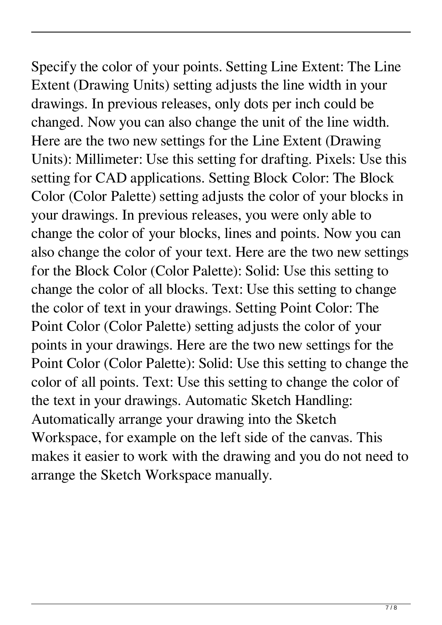Specify the color of your points. Setting Line Extent: The Line Extent (Drawing Units) setting adjusts the line width in your drawings. In previous releases, only dots per inch could be changed. Now you can also change the unit of the line width. Here are the two new settings for the Line Extent (Drawing Units): Millimeter: Use this setting for drafting. Pixels: Use this setting for CAD applications. Setting Block Color: The Block Color (Color Palette) setting adjusts the color of your blocks in your drawings. In previous releases, you were only able to change the color of your blocks, lines and points. Now you can also change the color of your text. Here are the two new settings for the Block Color (Color Palette): Solid: Use this setting to change the color of all blocks. Text: Use this setting to change the color of text in your drawings. Setting Point Color: The Point Color (Color Palette) setting adjusts the color of your points in your drawings. Here are the two new settings for the Point Color (Color Palette): Solid: Use this setting to change the color of all points. Text: Use this setting to change the color of the text in your drawings. Automatic Sketch Handling: Automatically arrange your drawing into the Sketch Workspace, for example on the left side of the canvas. This makes it easier to work with the drawing and you do not need to arrange the Sketch Workspace manually.